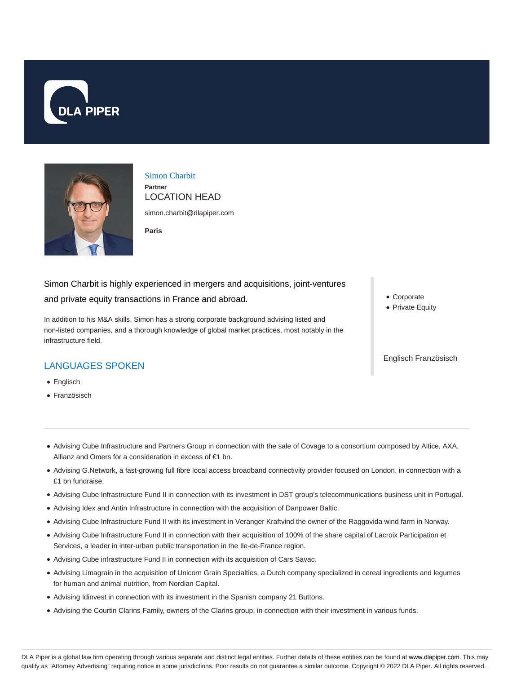



Simon Charbit **Partner**

LOCATION HEAD simon.charbit@dlapiper.com

**Paris**

Simon Charbit is highly experienced in mergers and acquisitions, joint-ventures and private equity transactions in France and abroad.

In addition to his M&A skills, Simon has a strong corporate background advising listed and non-listed companies, and a thorough knowledge of global market practices, most notably in the infrastructure field.

# LANGUAGES SPOKEN

- Englisch
- Französisch
- Corporate
- Private Equity

#### Englisch Französisch

- Advising Cube Infrastructure and Partners Group in connection with the sale of Covage to a consortium composed by Altice, AXA, Allianz and Omers for a consideration in excess of €1 bn.
- Advising G.Network, a fast-growing full fibre local access broadband connectivity provider focused on London, in connection with a £1 bn fundraise.
- Advising Cube Infrastructure Fund II in connection with its investment in DST group's telecommunications business unit in Portugal.
- Advising Idex and Antin Infrastructure in connection with the acquisition of Danpower Baltic.
- Advising Cube Infrastructure Fund II with its investment in Veranger Kraftvind the owner of the Raggovida wind farm in Norway.
- Advising Cube Infrastructure Fund II in connection with their acquisition of 100% of the share capital of Lacroix Participation et Services, a leader in inter-urban public transportation in the Ile-de-France region.
- Advising Cube infrastructure Fund II in connection with its acquisition of Cars Savac.
- Advising Limagrain in the acquisition of Unicorn Grain Specialties, a Dutch company specialized in cereal ingredients and legumes for human and animal nutrition, from Nordian Capital.
- Advising Idinvest in connection with its investment in the Spanish company 21 Buttons.
- Advising the Courtin Clarins Family, owners of the Clarins group, in connection with their investment in various funds.